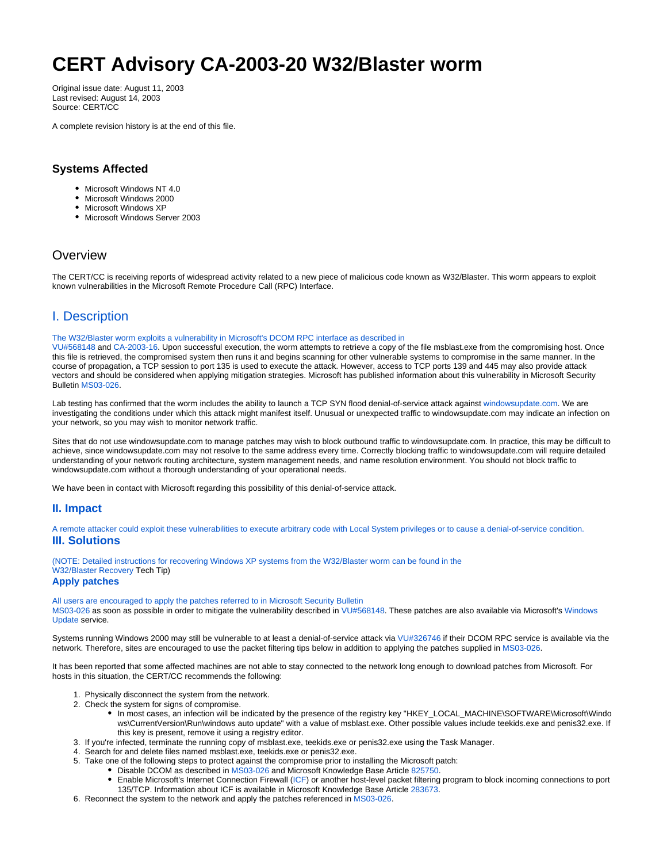# **CERT Advisory CA-2003-20 W32/Blaster worm**

Original issue date: August 11, 2003 Last revised: August 14, 2003 Source: CERT/CC

A complete revision history is at the end of this file.

### **Systems Affected**

- Microsoft Windows NT 4.0
- Microsoft Windows 2000
- Microsoft Windows XP
- Microsoft Windows Server 2003

## **Overview**

The CERT/CC is receiving reports of widespread activity related to a new piece of malicious code known as W32/Blaster. This worm appears to exploit known vulnerabilities in the Microsoft Remote Procedure Call (RPC) Interface.

# I. Description

#### The W32/Blaster worm exploits a vulnerability in Microsoft's DCOM RPC interface as described in

[VU#568148](http://www.kb.cert.org/vuls/id/568148) and [CA-2003-16.](http://www.cert.org/advisories/CA-2003-16.html) Upon successful execution, the worm attempts to retrieve a copy of the file msblast.exe from the compromising host. Once this file is retrieved, the compromised system then runs it and begins scanning for other vulnerable systems to compromise in the same manner. In the course of propagation, a TCP session to port 135 is used to execute the attack. However, access to TCP ports 139 and 445 may also provide attack vectors and should be considered when applying mitigation strategies. Microsoft has published information about this vulnerability in Microsoft Security Bulletin [MS03-026](http://microsoft.com/technet/security/bulletin/MS03-026.asp).

Lab testing has confirmed that the worm includes the ability to launch a TCP SYN flood denial-of-service attack against [windowsupdate.com.](http://windowsupdate.com/) We are investigating the conditions under which this attack might manifest itself. Unusual or unexpected traffic to windowsupdate.com may indicate an infection on your network, so you may wish to monitor network traffic.

Sites that do not use windowsupdate.com to manage patches may wish to block outbound traffic to windowsupdate.com. In practice, this may be difficult to achieve, since windowsupdate.com may not resolve to the same address every time. Correctly blocking traffic to windowsupdate.com will require detailed understanding of your network routing architecture, system management needs, and name resolution environment. You should not block traffic to windowsupdate.com without a thorough understanding of your operational needs.

We have been in contact with Microsoft regarding this possibility of this denial-of-service attack.

#### **II. Impact**

A remote attacker could exploit these vulnerabilities to execute arbitrary code with Local System privileges or to cause a denial-of-service condition. **III. Solutions**

(NOTE: Detailed instructions for recovering Windows XP systems from the W32/Blaster worm can be found in the [W32/Blaster Recovery](http://www.cert.org/tech_tips/w32_blaster.html) Tech Tip) **Apply patches**

All users are encouraged to apply the patches referred to in Microsoft Security Bulletin

[MS03-026](http://microsoft.com/technet/security/bulletin/MS03-026.asp) as soon as possible in order to mitigate the vulnerability described in [VU#568148](http://www.kb.cert.org/vuls/id/568148). These patches are also available via Microsoft's [Windows](http://windowsupdate.microsoft.com/)  [Update](http://windowsupdate.microsoft.com/) service.

Systems running Windows 2000 may still be vulnerable to at least a denial-of-service attack via [VU#326746](http://www.kb.cert.org/vuls/id/326746) if their DCOM RPC service is available via the network. Therefore, sites are encouraged to use the packet filtering tips below in addition to applying the patches supplied in [MS03-026](http://microsoft.com/technet/security/bulletin/MS03-026.asp).

It has been reported that some affected machines are not able to stay connected to the network long enough to download patches from Microsoft. For hosts in this situation, the CERT/CC recommends the following:

- 1. Physically disconnect the system from the network.
- 2. Check the system for signs of compromise.
	- In most cases, an infection will be indicated by the presence of the registry key "HKEY\_LOCAL\_MACHINE\SOFTWARE\Microsoft\Windo ws\CurrentVersion\Run\windows auto update" with a value of msblast.exe. Other possible values include teekids.exe and penis32.exe. If this key is present, remove it using a registry editor.
- 3. If you're infected, terminate the running copy of msblast.exe, teekids.exe or penis32.exe using the Task Manager.
- 4. Search for and delete files named msblast.exe, teekids.exe or penis32.exe.
- 5. Take one of the following steps to protect against the compromise prior to installing the Microsoft patch:
	- Disable DCOM as described in [MS03-026](http://microsoft.com/technet/security/bulletin/MS03-026.asp) and Microsoft Knowledge Base Article [825750.](http://support.microsoft.com/default.aspx?scid=kb;en-us;825750)
		- Enable Microsoft's Internet Connection Firewall [\(ICF](http://www.microsoft.com/windowsxp/home/using/howto/homenet/icf.asp)) or another host-level packet filtering program to block incoming connections to port 135/TCP. Information about ICF is available in Microsoft Knowledge Base Article [283673](http://support.microsoft.com/default.aspx?scid=kb;en-us;283673).
- 6. Reconnect the system to the network and apply the patches referenced in [MS03-026](http://microsoft.com/technet/security/bulletin/MS03-026.asp).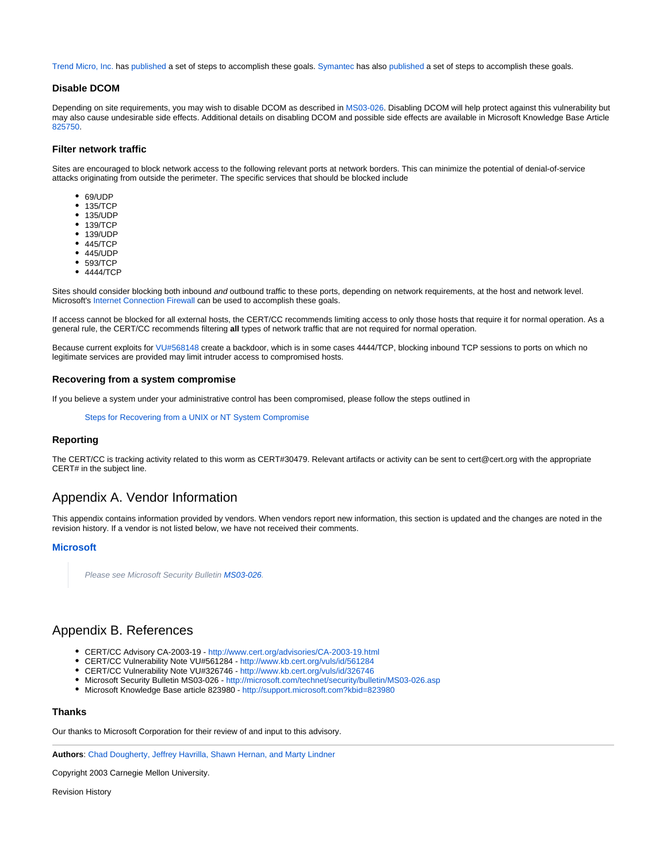[Trend Micro, Inc.](http://www.trendmicro.com/) has [published](http://www.trendmicro.com/vinfo/virusencyclo/default5.asp?VName=WORM_MSBLAST.A) a set of steps to accomplish these goals. [Symantec](http://www.symantec.com) has also [published](http://securityresponse.symantec.com/avcenter/venc/data/w32.blaster.worm.html) a set of steps to accomplish these goals.

#### **Disable DCOM**

Depending on site requirements, you may wish to disable DCOM as described in [MS03-026](http://microsoft.com/technet/security/bulletin/MS03-026.asp). Disabling DCOM will help protect against this vulnerability but may also cause undesirable side effects. Additional details on disabling DCOM and possible side effects are available in Microsoft Knowledge Base Article [825750](http://support.microsoft.com/default.aspx?scid=kb;en-us;825750).

#### **Filter network traffic**

Sites are encouraged to block network access to the following relevant ports at network borders. This can minimize the potential of denial-of-service attacks originating from outside the perimeter. The specific services that should be blocked include

- 69/UDP
- 135/TCP
- 135/UDP
- 139/TCP
- 139/UDP
- 445/TCP
- 445/UDP
- $•$  593/TCP
- 4444/TCP

Sites should consider blocking both inbound and outbound traffic to these ports, depending on network requirements, at the host and network level. Microsoft's [Internet Connection Firewall](http://www.microsoft.com/windowsxp/home/using/howto/homenet/icf.asp) can be used to accomplish these goals.

If access cannot be blocked for all external hosts, the CERT/CC recommends limiting access to only those hosts that require it for normal operation. As a general rule, the CERT/CC recommends filtering **all** types of network traffic that are not required for normal operation.

Because current exploits for [VU#568148](http://www.kb.cert.org/vuls/id/568148) create a backdoor, which is in some cases 4444/TCP, blocking inbound TCP sessions to ports on which no legitimate services are provided may limit intruder access to compromised hosts.

#### **Recovering from a system compromise**

If you believe a system under your administrative control has been compromised, please follow the steps outlined in

[Steps for Recovering from a UNIX or NT System Compromise](http://www.cert.org/tech_tips/win-UNIX-system_compromise.html)

#### **Reporting**

The CERT/CC is tracking activity related to this worm as CERT#30479. Relevant artifacts or activity can be sent to cert@cert.org with the appropriate CERT# in the subject line.

## Appendix A. Vendor Information

This appendix contains information provided by vendors. When vendors report new information, this section is updated and the changes are noted in the revision history. If a vendor is not listed below, we have not received their comments.

#### **[Microsoft](http://www.microsoft.com/)**

Please see Microsoft Security Bulletin [MS03-026](http://microsoft.com/technet/security/bulletin/MS03-026.asp).

## Appendix B. References

- CERT/CC Advisory CA-2003-19 -<http://www.cert.org/advisories/CA-2003-19.html>
- CERT/CC Vulnerability Note VU#561284 <http://www.kb.cert.org/vuls/id/561284>
- CERT/CC Vulnerability Note VU#326746 <http://www.kb.cert.org/vuls/id/326746>
- Microsoft Security Bulletin MS03-026 <http://microsoft.com/technet/security/bulletin/MS03-026.asp>
- Microsoft Knowledge Base article 823980 <http://support.microsoft.com?kbid=823980>

#### **Thanks**

Our thanks to Microsoft Corporation for their review of and input to this advisory.

**Authors**: [Chad Dougherty, Jeffrey Havrilla, Shawn Hernan, and Marty Lindner](mailto:cert@cert.org?subject=CA-2003-20%20Feedback)

Copyright 2003 Carnegie Mellon University.

Revision History